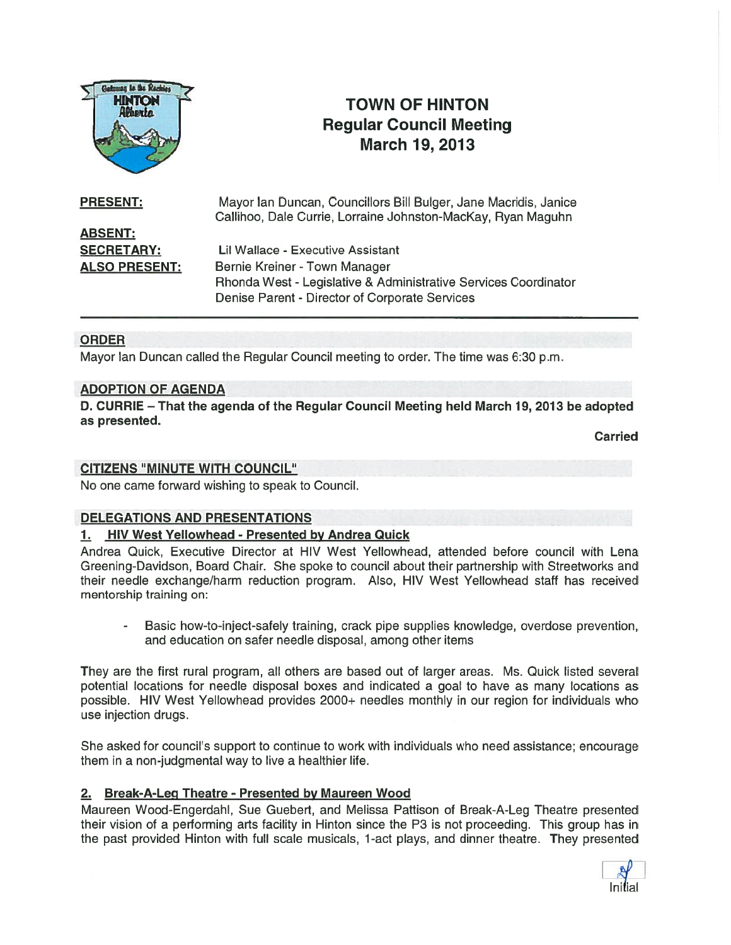

# TOWN OF HINTON Regular Council Meeting March 19, 2013

| <b>PRESENT:</b>      | Mayor Ian Duncan, Councillors Bill Bulger, Jane Macridis, Janice<br>Callihoo, Dale Currie, Lorraine Johnston-MacKay, Ryan Maguhn |
|----------------------|----------------------------------------------------------------------------------------------------------------------------------|
| <b>ABSENT:</b>       |                                                                                                                                  |
| <b>SECRETARY:</b>    | Lil Wallace - Executive Assistant                                                                                                |
| <b>ALSO PRESENT:</b> | Bernie Kreiner - Town Manager                                                                                                    |
|                      | Rhonda West - Legislative & Administrative Services Coordinator                                                                  |
|                      | Denise Parent - Director of Corporate Services                                                                                   |

## **ORDER**

Mayor Ian Duncan called the Regular Council meeting to order. The time was 6:30 p.m.

#### ADOPTION OF AGENDA

0. CURRIE — That the agenda of the Regular Council Meeting held March 19, 2013 be adopted as presented.

Carried

#### CITIZENS "MINUTE WITH COUNCIL"

No one came forward wishing to speak to Council.

#### DELEGATIONS AND PRESENTATIONS

#### 1. HIV West Yellowhead - Presented by Andrea Quick

Andrea Quick, Executive Director at HIV West Yellowhead, attended before council with Lena Greening-Davidson, Board Chair. She spoke to council about their partnership with Streetworks and their needle exchange/harm reduction program. Also, HIV West Yellowhead staff has received mentorship training on:

 Basic how-to-inject-safely training, crack pipe supplies knowledge, overdose prevention, and education on safer needle disposal, among other items

They are the first rural program, all others are based out of larger areas. Ms. Quick listed several potential locations for needle disposal boxes and indicated <sup>a</sup> goal to have as many locations as possible. HIV West Yellowhead provides 2000+ needles monthly in our region for individuals who use injection drugs.

She asked for council's suppor<sup>t</sup> to continue to work with individuals who need assistance; encourage them in <sup>a</sup> non-judgmental way to live <sup>a</sup> healthier life.

#### 2. Break-A-Leg Theatre - Presented by Maureen Wood

Maureen Wood-Engerdahl, Sue Guebert, and Melissa Pattison of Break-A-Leg Theatre presented their vision of <sup>a</sup> performing arts facility in Hinton since the P3 is not proceeding. This group has in the pas<sup>t</sup> provided Hinton with full scale musicals, 1-act plays, and dinner theatre. They presented

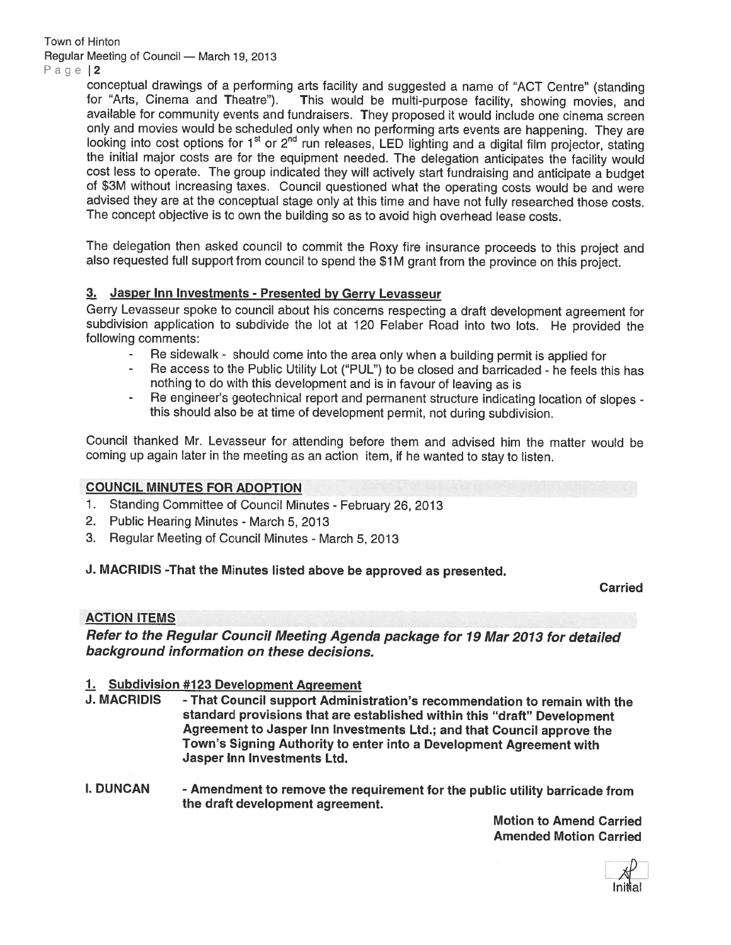Town of Hinton Regular Meeting of Council — March 19, 2013

Page 12

conceptual drawings of a performing arts facility and suggested a name of "ACT Centre" (standing for "Arts. Cinema and Theatre"). This would be multi-purpose facility, showing movies, and This would be multi-purpose facility, showing movies, and available for community events and fundraisers. They propose<sup>d</sup> it would include one cinema screen only and movies would be scheduled only when no performing arts events are happening. They are looking into cost options for 1<sup>st</sup> or 2<sup>nd</sup> run releases, LED lighting and a digital film projector, stating the initial maior costs are for the equipment needed. The delegation anticipates the facility would cost less to operate. The group indicated they will actively start fundraising and anticipate <sup>a</sup> budget of \$3M without increasing taxes. Council questioned what the operating costs would be and were advised they are at the conceptual stage only at this time and have not fully researched those costs. The concep<sup>t</sup> objective is to own the building so as to avoid high overhead lease costs.

The delegation then asked council to commit the Roxy fire insurance proceeds to this project and also requested full suppor<sup>t</sup> from council to spen<sup>d</sup> the \$1 <sup>M</sup> gran<sup>t</sup> from the province on this project.

## 3. Jasper Inn Investments - Presented by Gerry Levasseur

Gerry Levasseur spoke to council about his concerns respecting <sup>a</sup> draft development agreemen<sup>t</sup> for subdivision application to subdivide the lot at <sup>120</sup> Felaber Road into two lots. He provided the following comments:

- Re sidewalk should come into the area only when a building permit is applied for<br>Re access to the Public Utility Lot ("PULL") to be closed and barricaded be fools the
- Re access to the Public Utility Lot ("PUL") to be closed and barricaded he feels this has nothing to do with this development and is in favour of leaving as is
- - Re engineer's geotechnical repor<sup>t</sup> and permanen<sup>t</sup> structure indicating location of slopes this should also be at time of development permit, not during subdivision.

Council thanked Mr. Levasseur for attending before them and advised him the matter would be coming up again later in the meeting as an action item, if he wanted to stay to listen.

## COUNCIL MINUTES FOR ADOPTION

- 1. Standing Committee of Council Minutes February 26, <sup>2013</sup>
- 2. Public Hearing Minutes March 5, 2013
- 3. Regular Meeting of Council Minutes March 5, 2013

## J. MACRIDIS -That the Minutes listed above be approve<sup>d</sup> as presented.

Carried

#### ACTION ITEMS

Refer to the Regular Council Meeting Agenda package for <sup>19</sup> Mar <sup>2013</sup> for detailed background information on these decisions.

#### 1. Subdivision #123 Development Agreement

- J. MACRIDIS That Council support Administration's recommendation to remain with the standard provisions that are established within this "draft" Development Agreement to Jasper Inn Investments Ltd.; and that Council approve the Town's Signing Authority to enter into <sup>a</sup> Development Agreement with Jasper Inn Investments Ltd.
- I. DUNCAN Amendment to remove the requirement for the public utility barricade from the draft development agreement.

Motion to Amend Carried Amended Motion Carried

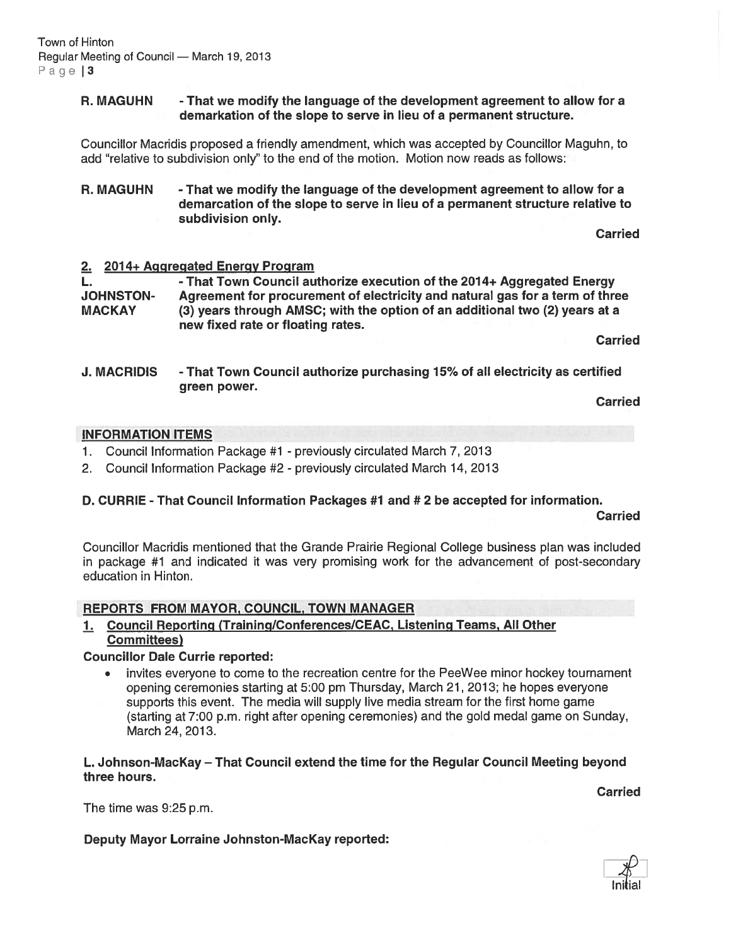#### R. MAGUHN - That we modify the language of the development agreemen<sup>t</sup> to allow for <sup>a</sup> demarkation of the slope to serve in lieu of <sup>a</sup> permanen<sup>t</sup> structure.

Councillor Macridis proposed <sup>a</sup> friendly amendment, which was accepted by Councillor Maguhn, to add "relative to subdivision only" to the end of the motion. Motion now reads as follows:

R. MAGUHN - That we modify the language of the development agreement to allow for a demarcation of the slope to serve in lieu of <sup>a</sup> permanen<sup>t</sup> structure relative to subdivision only.

**Carried** 

#### 2. 2014+ Aggregated Energy Program

L. **- That Town Council authorize execution of the 2014+ Aggregated Energy** JOHNSTON- Agreement for procuremen<sup>t</sup> of electricity and natural gas for <sup>a</sup> term of three MACKAY (3) years through AMSC; with the option of an additional two (2) years at <sup>a</sup> new fixed rate or floating rates.

Carried

J. MACRIDIS - That Town Council authorize purchasing 15% of all electricity as certified green power.

Carried

#### INFORMATION ITEMS

- 1. Council Information Package #1 previously circulated March 7, 2013
- 2. Council Information Package #2 previously circulated March 14, 2013

#### D. CURRIE - That Council Information Packages #1 and # 2 be accepted for information.

**Carried** 

Councillor Macridis mentioned that the Grande Prairie Regional College business plan was included in package #1 and indicated it was very promising work for the advancement of post-secondary education in Hinton.

#### REPORTS FROM MAYOR, COUNCIL, TOWN MANAGER

#### 1. Council Reporting (Training/Conferences/CEAC, Listening Teams, All Other Committees)

#### Councillor Dale Currie reported:

• invites everyone to come to the recreation centre for the PeeWee minor hockey tournament opening ceremonies starting at 5:00 pm Thursday, March 21, 2013; he hopes everyone supports this event. The media will supply live media stream for the first home game (starting at 7:00 p.m. right after opening ceremonies) and the gold medal game on Sunday, March 24, 2013.

L. Johnson-MacKay — That Council extend the time for the Regular Council Meeting beyond three hours.

Carried

The time was 9:25 p.m.

## Deputy Mayor Lorraine Johnston-Mackay reported:

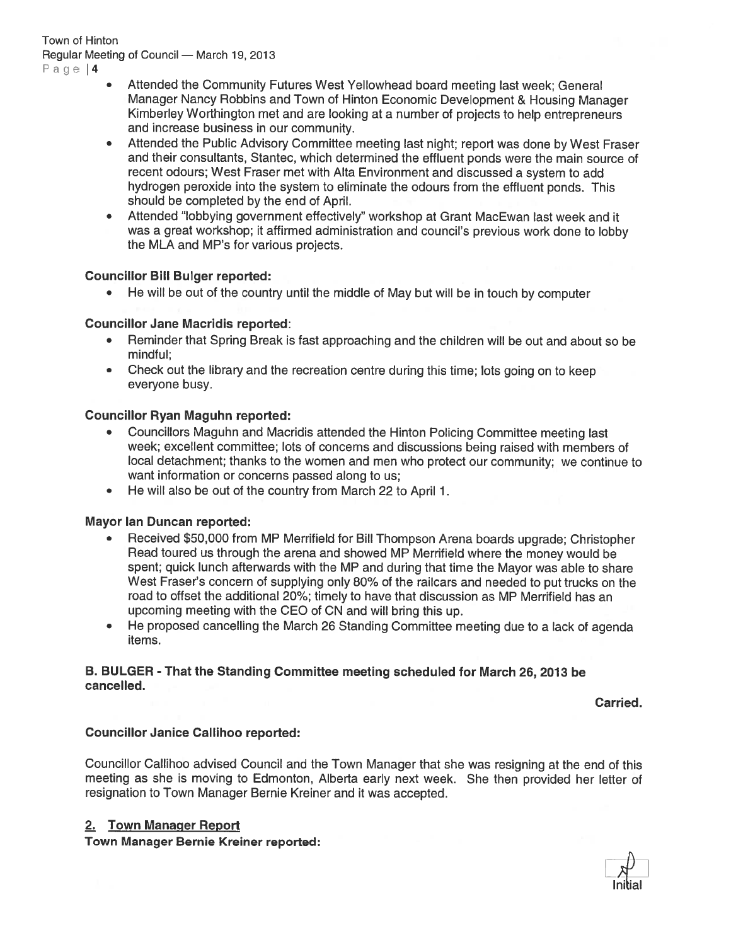## Town of Hinton Regular Meeting of Council — March 19, 2013

Page 14

- Attended the Community Futures West Yellowhead board meeting last week; General Manager Nancy Robbins and Town of Hinton Economic Development & Housing Manager Kimberley Worthington met and are looking at <sup>a</sup> number of projects to help entrepreneurs and increase business in our community.
- • Attended the Public Advisory Committee meeting last night; repor<sup>t</sup> was done by West Fraser and their consultants, Stantec, which determined the effluent ponds were the main source of recent odours; West Fraser met with Alta Environment and discussed <sup>a</sup> system to add hydrogen peroxide into the system to eliminate the odours from the effluent ponds. This should be completed by the end of April.
- • Attended "lobbying governmen<sup>t</sup> effectively" workshop at Grant MacEwan last week and it was <sup>a</sup> grea<sup>t</sup> workshop; it affirmed administration and council's previous work done to lobby the MLA and MP's for various projects.

## Councillor Bill Bulger reported:

• He will be out of the country until the middle of May but will be in touch by computer

## Councillor Jane Macridis reported:

- Reminder that Spring Break is fast approaching and the children will be out and about so be mindful;
- Check out the library and the recreation centre during this time; lots going on to keep everyone busy.

## Councillor Ryan Maguhn reported:

- Councillors Maguhn and Macridis attended the Hinton Policing Committee meeting last week; excellent committee; lots of concerns and discussions being raised with members of local detachment; thanks to the women and men who protect our community; we continue to want information or concerns passed along to us;
- He will also be out of the country from March 22 to April 1.

## Mayor Ian Duncan reported:

- • Received \$50,000 from MP Merrifield for Bill Thompson Arena boards upgrade; Christopher Read toured us through the arena and showed MP Merrifield where the money would be spent; quick lunch afterwards with the MP and during that time the Mayor was able to share West Fraser's concern of supplying only 80% of the railcars and needed to pu<sup>t</sup> trucks on the road to offset the additional 20%; timely to have that discussion as MP Merrifield has an upcoming meeting with the CEO of CN and will bring this up.
- $\bullet$  He propose<sup>d</sup> cancelling the March <sup>26</sup> Standing Committee meeting due to <sup>a</sup> lack of agenda items.

#### B. BULGER - That the Standing Committee meeting scheduled for March 26, 2013 be cancelled.

Carried.

## Councillor Janice Callihoo reported:

Councillor Callihoo advised Council and the Town Manager that she was resigning at the end of this meeting as she is moving to Edmonton, Alberta early next week. She then provided her letter of resignation to Town Manager Bernie Kreiner and it was accepted.

## 2. Town Manager Report

Town Manager Bernie Kreiner reported:

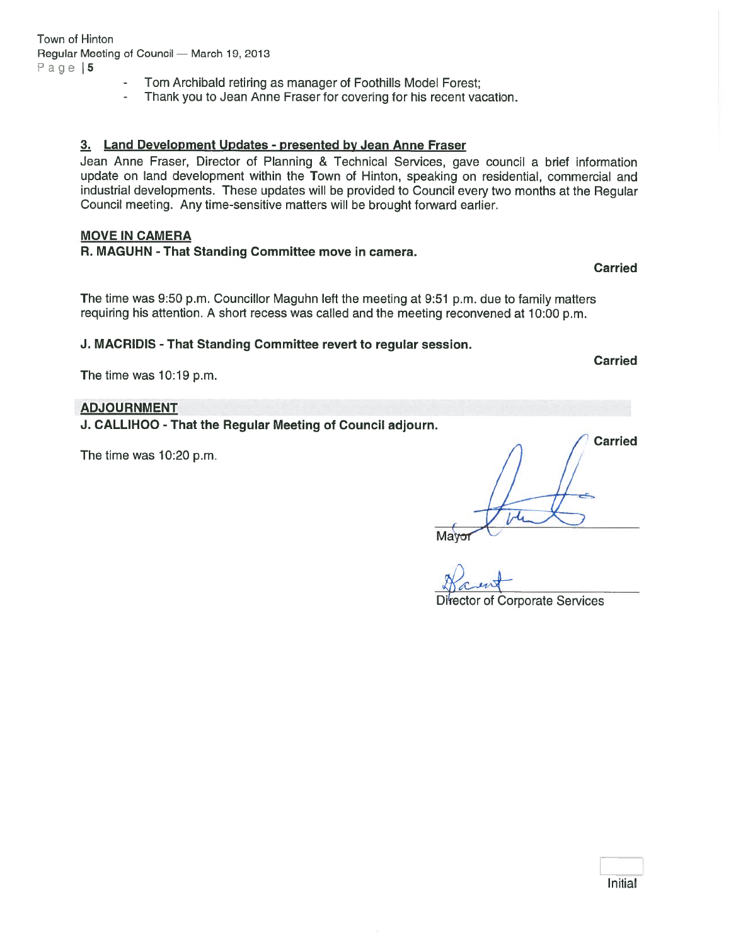- Tom Archibald retiring as manager of Foothills Model Forest;
- -Thank you to Jean Anne Fraser for covering for his recent vacation.

#### 3. Land Development Updates - presented by Jean Anne Fraser

Jean Anne Fraser, Director of Planning & Technical Services, gave council <sup>a</sup> brief information update on land development within the Town of Hinton, speaking on residential, commercial and industrial developments. These updates will be provided to Council every two months at the Regular Council meeting. Any time-sensitive matters will be brought forward earlier.

#### MOVE IN CAMERA

R. MAGUHN - That Standing Committee move in camera.

Carried

Carried

The time was 9:50 p.m. Councillor Maguhn left the meeting at 9:51 p.m. due to family matters requiring his attention. A short recess was called and the meeting reconvened at 10:00 p.m.

J. MACRIDIS - That Standing Committee revert to regular session.

The time was 10:19 p.m.

## ADJOURNMENT

J. CALLIHOO -That the Regular Meeting of Council adjourn.

The time was 10:20 p.m.

Carried

of Corporate Services

Initial